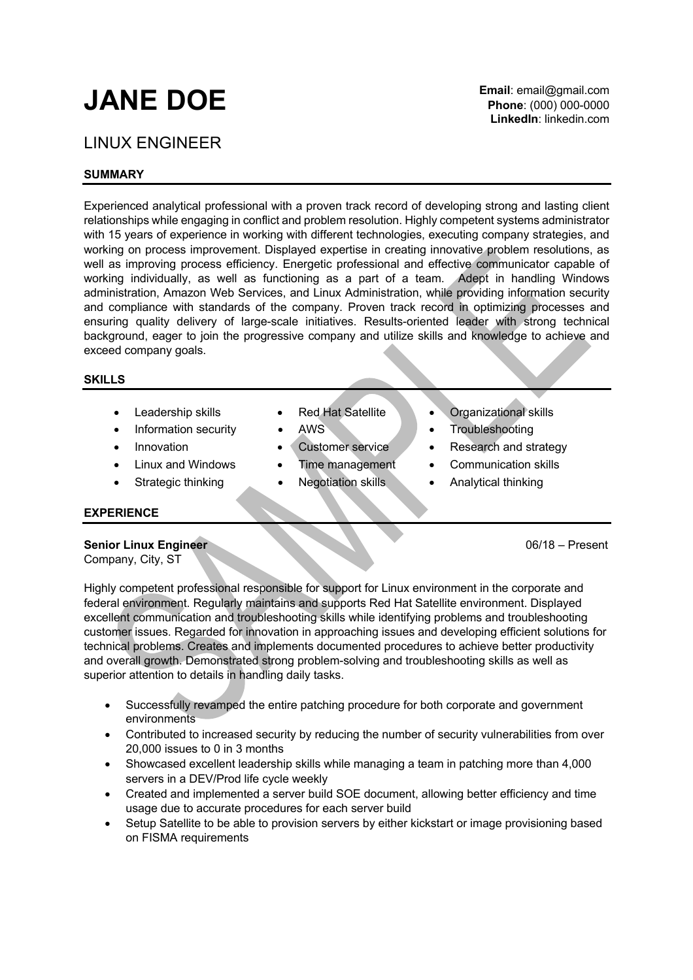# **JANE DOE**

# LINUX ENGINEER

# **SUMMARY**

Experienced analytical professional with a proven track record of developing strong and lasting client relationships while engaging in conflict and problem resolution. Highly competent systems administrator with 15 years of experience in working with different technologies, executing company strategies, and working on process improvement. Displayed expertise in creating innovative problem resolutions, as well as improving process efficiency. Energetic professional and effective communicator capable of working individually, as well as functioning as a part of a team. Adept in handling Windows administration, Amazon Web Services, and Linux Administration, while providing information security and compliance with standards of the company. Proven track record in optimizing processes and ensuring quality delivery of large-scale initiatives. Results-oriented leader with strong technical background, eager to join the progressive company and utilize skills and knowledge to achieve and exceed company goals.

#### **SKILLS**

- 
- Information security AWS Troubleshooting
- 
- 
- 
- 
- 
- 
- 
- 
- Leadership skills Red Hat Satellite Organizational skills
	-
	- **Innovation Customer service Research and strategy**
	- Linux and Windows Time management Communication skills
	- Strategic thinking Negotiation skills Analytical thinking

# **EXPERIENCE**

# **Senior Linux Engineer** 06/18 – Present

Company, City, ST

Highly competent professional responsible for support for Linux environment in the corporate and federal environment. Regularly maintains and supports Red Hat Satellite environment. Displayed excellent communication and troubleshooting skills while identifying problems and troubleshooting customer issues. Regarded for innovation in approaching issues and developing efficient solutions for technical problems. Creates and implements documented procedures to achieve better productivity and overall growth. Demonstrated strong problem-solving and troubleshooting skills as well as superior attention to details in handling daily tasks.

- Successfully revamped the entire patching procedure for both corporate and government environments
- Contributed to increased security by reducing the number of security vulnerabilities from over 20,000 issues to 0 in 3 months
- Showcased excellent leadership skills while managing a team in patching more than 4,000 servers in a DEV/Prod life cycle weekly
- Created and implemented a server build SOE document, allowing better efficiency and time usage due to accurate procedures for each server build
- Setup Satellite to be able to provision servers by either kickstart or image provisioning based on FISMA requirements

**Email**: email@gmail.com **Phone**: (000) 000-0000 **LinkedIn**: linkedin.com